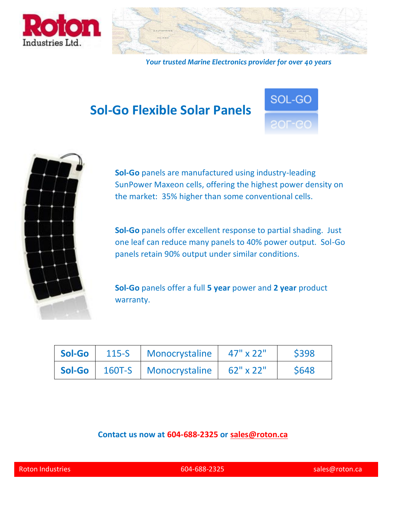



*Your trusted Marine Electronics provider for over 40 years*

## **Sol-Go Flexible Solar Panels**





**Sol-Go** panels are manufactured using industry-leading SunPower Maxeon cells, offering the highest power density on the market: 35% higher than some conventional cells.

**Sol-Go** panels offer excellent response to partial shading. Just one leaf can reduce many panels to 40% power output. Sol-Go panels retain 90% output under similar conditions.

**Sol-Go** panels offer a full **5 year** power and **2 year** product warranty.

|  | Sol-Go 115-S Monocrystaline 47" x 22"        | \$398       |
|--|----------------------------------------------|-------------|
|  | Sol-Go   160T-S   Monocrystaline   62" x 22" | <b>S648</b> |

#### **Contact us now at 604-688-2325 or [sales@roton.ca](http://sales@roton.ca)**